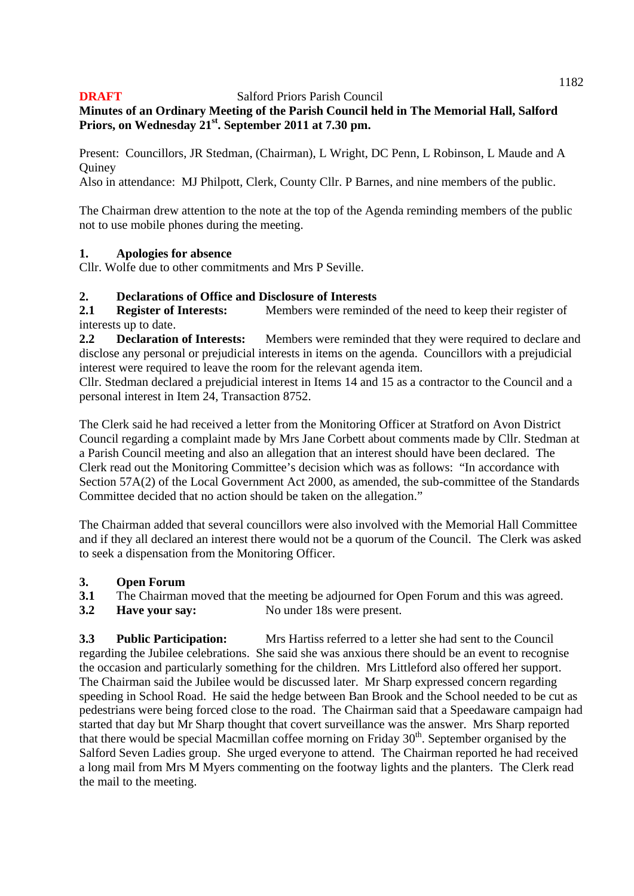## **Minutes of an Ordinary Meeting of the Parish Council held in The Memorial Hall, Salford Priors, on Wednesday 21st. September 2011 at 7.30 pm.**

Present: Councillors, JR Stedman, (Chairman), L Wright, DC Penn, L Robinson, L Maude and A **Ouinev** 

Also in attendance: MJ Philpott, Clerk, County Cllr. P Barnes, and nine members of the public.

The Chairman drew attention to the note at the top of the Agenda reminding members of the public not to use mobile phones during the meeting.

### **1. Apologies for absence**

Cllr. Wolfe due to other commitments and Mrs P Seville.

### **2. Declarations of Office and Disclosure of Interests**

**2.1 Register of Interests:** Members were reminded of the need to keep their register of interests up to date.

**2.2 Declaration of Interests:** Members were reminded that they were required to declare and disclose any personal or prejudicial interests in items on the agenda. Councillors with a prejudicial interest were required to leave the room for the relevant agenda item.

Cllr. Stedman declared a prejudicial interest in Items 14 and 15 as a contractor to the Council and a personal interest in Item 24, Transaction 8752.

The Clerk said he had received a letter from the Monitoring Officer at Stratford on Avon District Council regarding a complaint made by Mrs Jane Corbett about comments made by Cllr. Stedman at a Parish Council meeting and also an allegation that an interest should have been declared. The Clerk read out the Monitoring Committee's decision which was as follows: "In accordance with Section 57A(2) of the Local Government Act 2000, as amended, the sub-committee of the Standards Committee decided that no action should be taken on the allegation."

The Chairman added that several councillors were also involved with the Memorial Hall Committee and if they all declared an interest there would not be a quorum of the Council. The Clerk was asked to seek a dispensation from the Monitoring Officer.

## **3. Open Forum**

**3.1** The Chairman moved that the meeting be adjourned for Open Forum and this was agreed.

**3.2 Have your say:** No under 18s were present.

**3.3 Public Participation:** Mrs Hartiss referred to a letter she had sent to the Council regarding the Jubilee celebrations. She said she was anxious there should be an event to recognise the occasion and particularly something for the children. Mrs Littleford also offered her support. The Chairman said the Jubilee would be discussed later. Mr Sharp expressed concern regarding speeding in School Road. He said the hedge between Ban Brook and the School needed to be cut as pedestrians were being forced close to the road. The Chairman said that a Speedaware campaign had started that day but Mr Sharp thought that covert surveillance was the answer. Mrs Sharp reported that there would be special Macmillan coffee morning on Friday  $30<sup>th</sup>$ . September organised by the Salford Seven Ladies group. She urged everyone to attend. The Chairman reported he had received a long mail from Mrs M Myers commenting on the footway lights and the planters. The Clerk read the mail to the meeting.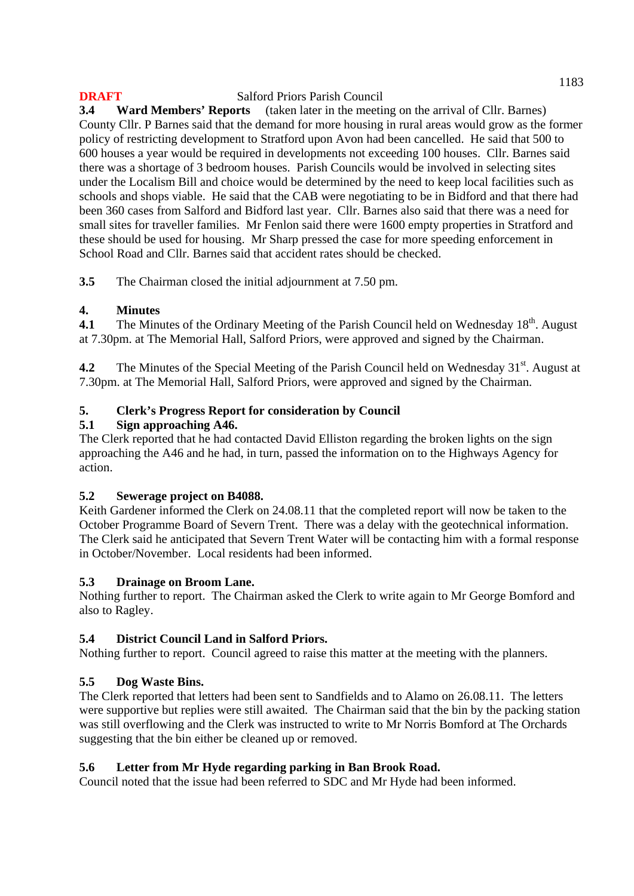**3.4 Ward Members' Reports** (taken later in the meeting on the arrival of Cllr. Barnes) County Cllr. P Barnes said that the demand for more housing in rural areas would grow as the former policy of restricting development to Stratford upon Avon had been cancelled. He said that 500 to 600 houses a year would be required in developments not exceeding 100 houses. Cllr. Barnes said there was a shortage of 3 bedroom houses. Parish Councils would be involved in selecting sites under the Localism Bill and choice would be determined by the need to keep local facilities such as schools and shops viable. He said that the CAB were negotiating to be in Bidford and that there had been 360 cases from Salford and Bidford last year. Cllr. Barnes also said that there was a need for small sites for traveller families. Mr Fenlon said there were 1600 empty properties in Stratford and these should be used for housing. Mr Sharp pressed the case for more speeding enforcement in School Road and Cllr. Barnes said that accident rates should be checked.

**3.5** The Chairman closed the initial adjournment at 7.50 pm.

# **4. Minutes**

**4.1** The Minutes of the Ordinary Meeting of the Parish Council held on Wednesday 18<sup>th</sup>. August at 7.30pm. at The Memorial Hall, Salford Priors, were approved and signed by the Chairman.

**4.2** The Minutes of the Special Meeting of the Parish Council held on Wednesday 31<sup>st</sup>. August at 7.30pm. at The Memorial Hall, Salford Priors, were approved and signed by the Chairman.

# **5. Clerk's Progress Report for consideration by Council**

## **5.1 Sign approaching A46.**

The Clerk reported that he had contacted David Elliston regarding the broken lights on the sign approaching the A46 and he had, in turn, passed the information on to the Highways Agency for action.

## **5.2 Sewerage project on B4088.**

Keith Gardener informed the Clerk on 24.08.11 that the completed report will now be taken to the October Programme Board of Severn Trent. There was a delay with the geotechnical information. The Clerk said he anticipated that Severn Trent Water will be contacting him with a formal response in October/November. Local residents had been informed.

## **5.3 Drainage on Broom Lane.**

Nothing further to report. The Chairman asked the Clerk to write again to Mr George Bomford and also to Ragley.

## **5.4 District Council Land in Salford Priors.**

Nothing further to report. Council agreed to raise this matter at the meeting with the planners.

## **5.5 Dog Waste Bins.**

The Clerk reported that letters had been sent to Sandfields and to Alamo on 26.08.11. The letters were supportive but replies were still awaited. The Chairman said that the bin by the packing station was still overflowing and the Clerk was instructed to write to Mr Norris Bomford at The Orchards suggesting that the bin either be cleaned up or removed.

## **5.6 Letter from Mr Hyde regarding parking in Ban Brook Road.**

Council noted that the issue had been referred to SDC and Mr Hyde had been informed.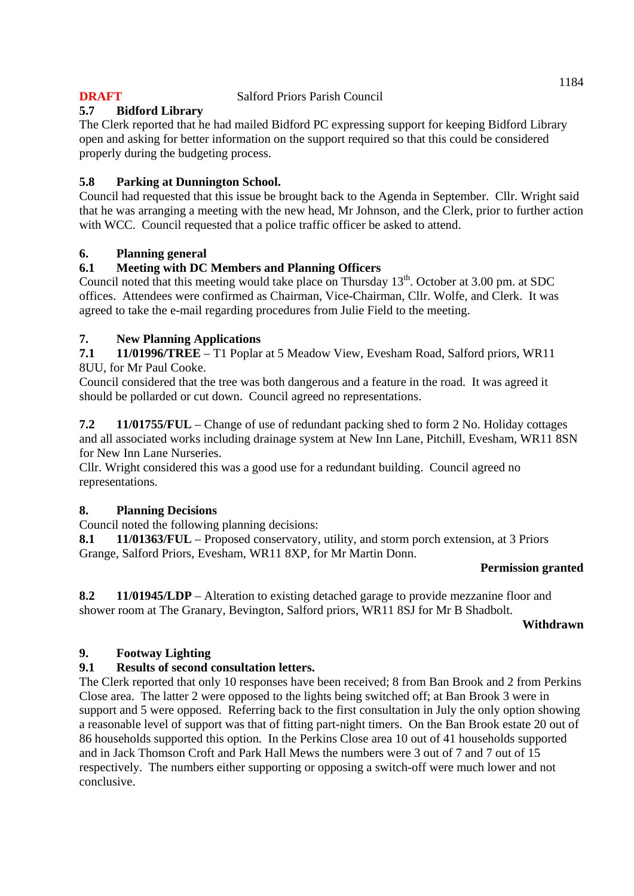### **5.7 Bidford Library**

The Clerk reported that he had mailed Bidford PC expressing support for keeping Bidford Library open and asking for better information on the support required so that this could be considered properly during the budgeting process.

### **5.8 Parking at Dunnington School.**

Council had requested that this issue be brought back to the Agenda in September. Cllr. Wright said that he was arranging a meeting with the new head, Mr Johnson, and the Clerk, prior to further action with WCC. Council requested that a police traffic officer be asked to attend.

#### **6. Planning general**

## **6.1 Meeting with DC Members and Planning Officers**

Council noted that this meeting would take place on Thursday 13<sup>th</sup>. October at 3.00 pm. at SDC offices. Attendees were confirmed as Chairman, Vice-Chairman, Cllr. Wolfe, and Clerk. It was agreed to take the e-mail regarding procedures from Julie Field to the meeting.

### **7. New Planning Applications**

**7.1 11/01996/TREE** – T1 Poplar at 5 Meadow View, Evesham Road, Salford priors, WR11 8UU, for Mr Paul Cooke.

Council considered that the tree was both dangerous and a feature in the road. It was agreed it should be pollarded or cut down. Council agreed no representations.

**7.2 11/01755/FUL** – Change of use of redundant packing shed to form 2 No. Holiday cottages and all associated works including drainage system at New Inn Lane, Pitchill, Evesham, WR11 8SN for New Inn Lane Nurseries.

Cllr. Wright considered this was a good use for a redundant building. Council agreed no representations.

#### **8. Planning Decisions**

Council noted the following planning decisions:

**8.1 11/01363/FUL** – Proposed conservatory, utility, and storm porch extension, at 3 Priors Grange, Salford Priors, Evesham, WR11 8XP, for Mr Martin Donn.

#### **Permission granted**

**8.2 11/01945/LDP** – Alteration to existing detached garage to provide mezzanine floor and shower room at The Granary, Bevington, Salford priors, WR11 8SJ for Mr B Shadbolt.

#### **Withdrawn**

#### **9. Footway Lighting**

#### **9.1 Results of second consultation letters.**

The Clerk reported that only 10 responses have been received; 8 from Ban Brook and 2 from Perkins Close area. The latter 2 were opposed to the lights being switched off; at Ban Brook 3 were in support and 5 were opposed. Referring back to the first consultation in July the only option showing a reasonable level of support was that of fitting part-night timers. On the Ban Brook estate 20 out of 86 households supported this option. In the Perkins Close area 10 out of 41 households supported and in Jack Thomson Croft and Park Hall Mews the numbers were 3 out of 7 and 7 out of 15 respectively. The numbers either supporting or opposing a switch-off were much lower and not conclusive.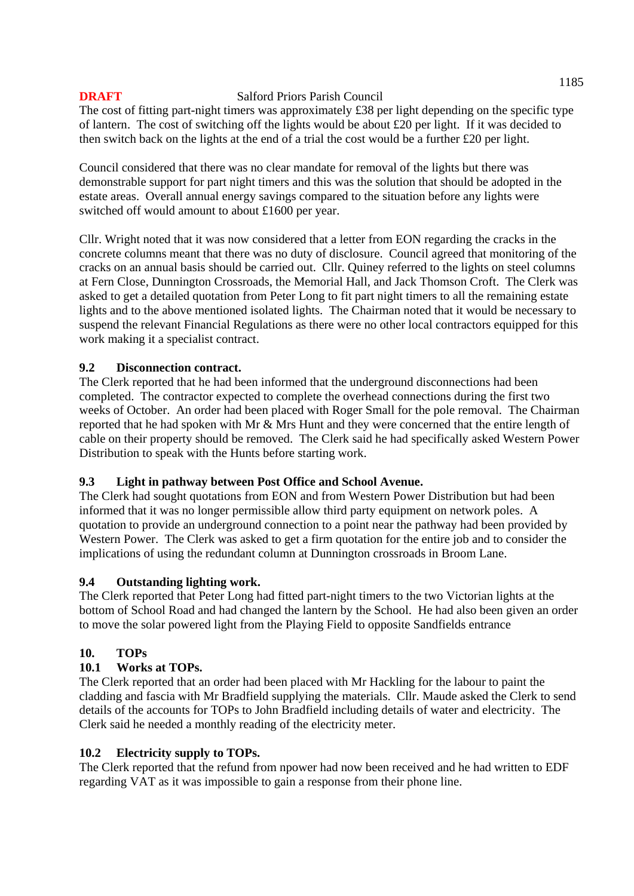The cost of fitting part-night timers was approximately £38 per light depending on the specific type of lantern. The cost of switching off the lights would be about £20 per light. If it was decided to then switch back on the lights at the end of a trial the cost would be a further £20 per light.

Council considered that there was no clear mandate for removal of the lights but there was demonstrable support for part night timers and this was the solution that should be adopted in the estate areas. Overall annual energy savings compared to the situation before any lights were switched off would amount to about £1600 per year.

Cllr. Wright noted that it was now considered that a letter from EON regarding the cracks in the concrete columns meant that there was no duty of disclosure. Council agreed that monitoring of the cracks on an annual basis should be carried out. Cllr. Quiney referred to the lights on steel columns at Fern Close, Dunnington Crossroads, the Memorial Hall, and Jack Thomson Croft. The Clerk was asked to get a detailed quotation from Peter Long to fit part night timers to all the remaining estate lights and to the above mentioned isolated lights. The Chairman noted that it would be necessary to suspend the relevant Financial Regulations as there were no other local contractors equipped for this work making it a specialist contract.

### **9.2 Disconnection contract.**

The Clerk reported that he had been informed that the underground disconnections had been completed. The contractor expected to complete the overhead connections during the first two weeks of October. An order had been placed with Roger Small for the pole removal. The Chairman reported that he had spoken with Mr & Mrs Hunt and they were concerned that the entire length of cable on their property should be removed. The Clerk said he had specifically asked Western Power Distribution to speak with the Hunts before starting work.

#### **9.3 Light in pathway between Post Office and School Avenue.**

The Clerk had sought quotations from EON and from Western Power Distribution but had been informed that it was no longer permissible allow third party equipment on network poles. A quotation to provide an underground connection to a point near the pathway had been provided by Western Power. The Clerk was asked to get a firm quotation for the entire job and to consider the implications of using the redundant column at Dunnington crossroads in Broom Lane.

#### **9.4 Outstanding lighting work.**

The Clerk reported that Peter Long had fitted part-night timers to the two Victorian lights at the bottom of School Road and had changed the lantern by the School. He had also been given an order to move the solar powered light from the Playing Field to opposite Sandfields entrance

## **10. TOPs**

## **10.1 Works at TOPs.**

The Clerk reported that an order had been placed with Mr Hackling for the labour to paint the cladding and fascia with Mr Bradfield supplying the materials. Cllr. Maude asked the Clerk to send details of the accounts for TOPs to John Bradfield including details of water and electricity. The Clerk said he needed a monthly reading of the electricity meter.

## **10.2 Electricity supply to TOPs.**

The Clerk reported that the refund from npower had now been received and he had written to EDF regarding VAT as it was impossible to gain a response from their phone line.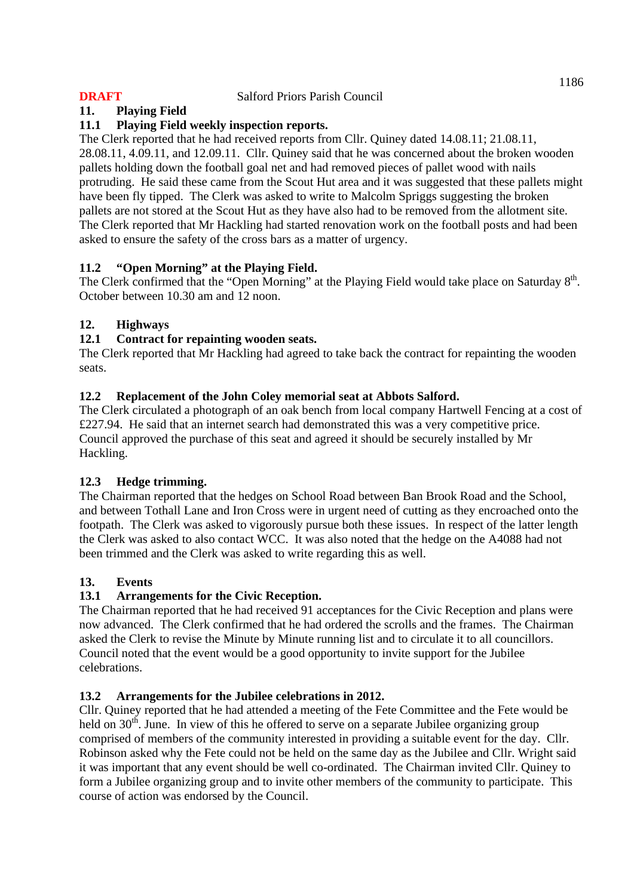### **11. Playing Field**

### **11.1 Playing Field weekly inspection reports.**

The Clerk reported that he had received reports from Cllr. Quiney dated 14.08.11; 21.08.11, 28.08.11, 4.09.11, and 12.09.11. Cllr. Quiney said that he was concerned about the broken wooden pallets holding down the football goal net and had removed pieces of pallet wood with nails protruding. He said these came from the Scout Hut area and it was suggested that these pallets might have been fly tipped. The Clerk was asked to write to Malcolm Spriggs suggesting the broken pallets are not stored at the Scout Hut as they have also had to be removed from the allotment site. The Clerk reported that Mr Hackling had started renovation work on the football posts and had been asked to ensure the safety of the cross bars as a matter of urgency.

### **11.2 "Open Morning" at the Playing Field.**

The Clerk confirmed that the "Open Morning" at the Playing Field would take place on Saturday 8<sup>th</sup>. October between 10.30 am and 12 noon.

### **12. Highways**

#### **12.1 Contract for repainting wooden seats.**

The Clerk reported that Mr Hackling had agreed to take back the contract for repainting the wooden seats.

### **12.2 Replacement of the John Coley memorial seat at Abbots Salford.**

The Clerk circulated a photograph of an oak bench from local company Hartwell Fencing at a cost of £227.94. He said that an internet search had demonstrated this was a very competitive price. Council approved the purchase of this seat and agreed it should be securely installed by Mr Hackling.

## **12.3 Hedge trimming.**

The Chairman reported that the hedges on School Road between Ban Brook Road and the School, and between Tothall Lane and Iron Cross were in urgent need of cutting as they encroached onto the footpath. The Clerk was asked to vigorously pursue both these issues. In respect of the latter length the Clerk was asked to also contact WCC. It was also noted that the hedge on the A4088 had not been trimmed and the Clerk was asked to write regarding this as well.

#### **13. Events**

## **13.1 Arrangements for the Civic Reception.**

The Chairman reported that he had received 91 acceptances for the Civic Reception and plans were now advanced. The Clerk confirmed that he had ordered the scrolls and the frames. The Chairman asked the Clerk to revise the Minute by Minute running list and to circulate it to all councillors. Council noted that the event would be a good opportunity to invite support for the Jubilee celebrations.

#### **13.2 Arrangements for the Jubilee celebrations in 2012.**

Cllr. Quiney reported that he had attended a meeting of the Fete Committee and the Fete would be held on  $30<sup>th</sup>$ . June. In view of this he offered to serve on a separate Jubilee organizing group comprised of members of the community interested in providing a suitable event for the day. Cllr. Robinson asked why the Fete could not be held on the same day as the Jubilee and Cllr. Wright said it was important that any event should be well co-ordinated. The Chairman invited Cllr. Quiney to form a Jubilee organizing group and to invite other members of the community to participate. This course of action was endorsed by the Council.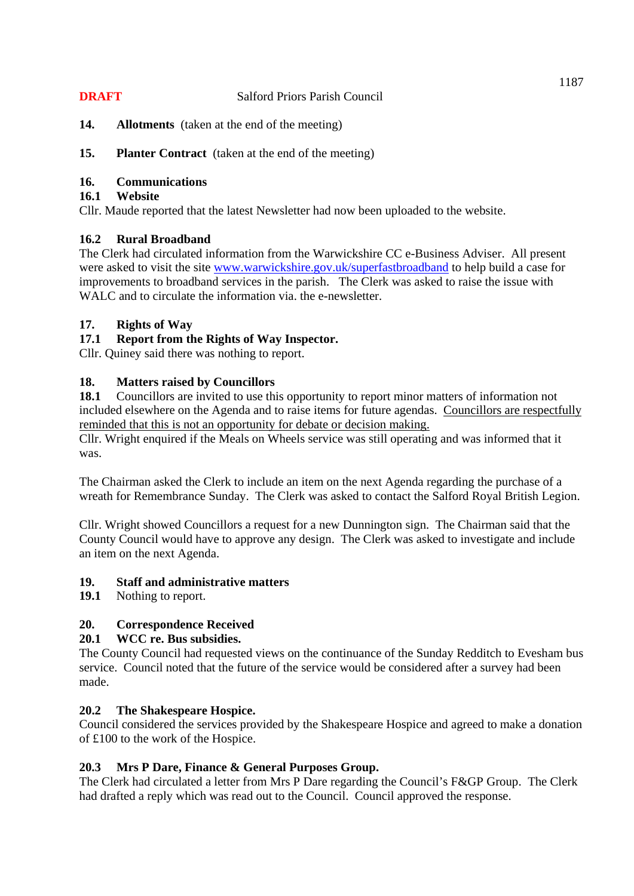- **14. Allotments** (taken at the end of the meeting)
- **15.** Planter Contract (taken at the end of the meeting)

#### **16. Communications**

#### **16.1 Website**

Cllr. Maude reported that the latest Newsletter had now been uploaded to the website.

## **16.2 Rural Broadband**

The Clerk had circulated information from the Warwickshire CC e-Business Adviser. All present were asked to visit the site www.warwickshire.gov.uk/superfastbroadband to help build a case for improvements to broadband services in the parish. The Clerk was asked to raise the issue with WALC and to circulate the information via. the e-newsletter.

### **17. Rights of Way**

### **17.1 Report from the Rights of Way Inspector.**

Cllr. Quiney said there was nothing to report.

### **18. Matters raised by Councillors**

**18.1** Councillors are invited to use this opportunity to report minor matters of information not included elsewhere on the Agenda and to raise items for future agendas. Councillors are respectfully reminded that this is not an opportunity for debate or decision making.

Cllr. Wright enquired if the Meals on Wheels service was still operating and was informed that it was.

The Chairman asked the Clerk to include an item on the next Agenda regarding the purchase of a wreath for Remembrance Sunday. The Clerk was asked to contact the Salford Royal British Legion.

Cllr. Wright showed Councillors a request for a new Dunnington sign. The Chairman said that the County Council would have to approve any design. The Clerk was asked to investigate and include an item on the next Agenda.

#### **19. Staff and administrative matters**

**19.1** Nothing to report.

#### **20. Correspondence Received**

#### **20.1 WCC re. Bus subsidies.**

The County Council had requested views on the continuance of the Sunday Redditch to Evesham bus service. Council noted that the future of the service would be considered after a survey had been made.

#### **20.2 The Shakespeare Hospice.**

Council considered the services provided by the Shakespeare Hospice and agreed to make a donation of £100 to the work of the Hospice.

#### **20.3 Mrs P Dare, Finance & General Purposes Group.**

The Clerk had circulated a letter from Mrs P Dare regarding the Council's F&GP Group. The Clerk had drafted a reply which was read out to the Council. Council approved the response.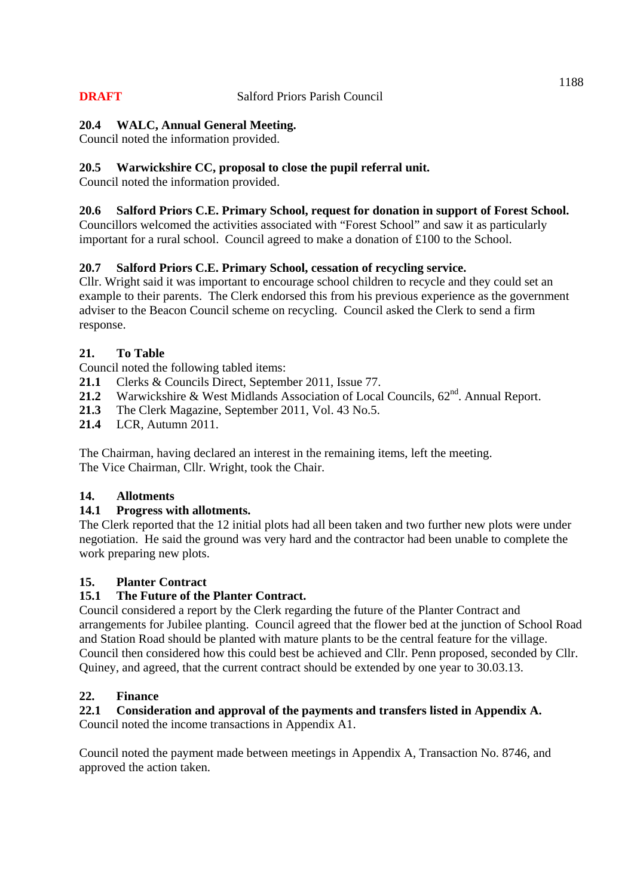## **20.4 WALC, Annual General Meeting.**

Council noted the information provided.

## **20.5 Warwickshire CC, proposal to close the pupil referral unit.**

Council noted the information provided.

### **20.6 Salford Priors C.E. Primary School, request for donation in support of Forest School.**

Councillors welcomed the activities associated with "Forest School" and saw it as particularly important for a rural school. Council agreed to make a donation of £100 to the School.

### **20.7 Salford Priors C.E. Primary School, cessation of recycling service.**

Cllr. Wright said it was important to encourage school children to recycle and they could set an example to their parents. The Clerk endorsed this from his previous experience as the government adviser to the Beacon Council scheme on recycling. Council asked the Clerk to send a firm response.

#### **21. To Table**

Council noted the following tabled items:

- **21.1** Clerks & Councils Direct, September 2011, Issue 77.
- 21.2 Warwickshire & West Midlands Association of Local Councils,  $62<sup>nd</sup>$ . Annual Report.
- **21.3** The Clerk Magazine, September 2011, Vol. 43 No.5.
- **21.4** LCR, Autumn 2011.

The Chairman, having declared an interest in the remaining items, left the meeting. The Vice Chairman, Cllr. Wright, took the Chair.

#### **14. Allotments**

#### **14.1 Progress with allotments.**

The Clerk reported that the 12 initial plots had all been taken and two further new plots were under negotiation. He said the ground was very hard and the contractor had been unable to complete the work preparing new plots.

#### **15. Planter Contract**

#### **15.1 The Future of the Planter Contract.**

Council considered a report by the Clerk regarding the future of the Planter Contract and arrangements for Jubilee planting. Council agreed that the flower bed at the junction of School Road and Station Road should be planted with mature plants to be the central feature for the village. Council then considered how this could best be achieved and Cllr. Penn proposed, seconded by Cllr. Quiney, and agreed, that the current contract should be extended by one year to 30.03.13.

#### **22. Finance**

## **22.1 Consideration and approval of the payments and transfers listed in Appendix A.**

Council noted the income transactions in Appendix A1.

Council noted the payment made between meetings in Appendix A, Transaction No. 8746, and approved the action taken.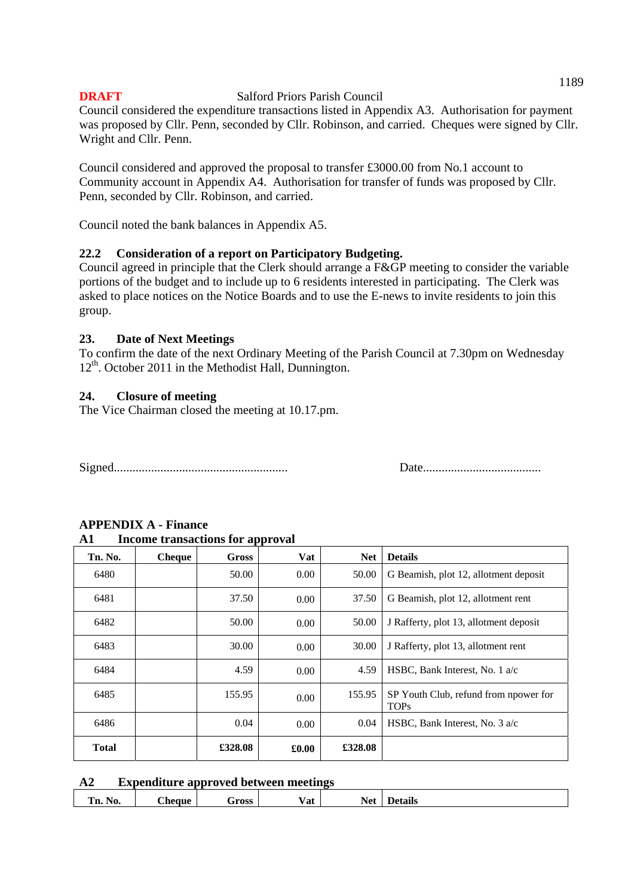Council considered the expenditure transactions listed in Appendix A3. Authorisation for payment was proposed by Cllr. Penn, seconded by Cllr. Robinson, and carried. Cheques were signed by Cllr. Wright and Cllr. Penn.

Council considered and approved the proposal to transfer £3000.00 from No.1 account to Community account in Appendix A4. Authorisation for transfer of funds was proposed by Cllr. Penn, seconded by Cllr. Robinson, and carried.

Council noted the bank balances in Appendix A5.

#### **22.2 Consideration of a report on Participatory Budgeting.**

Council agreed in principle that the Clerk should arrange a F&GP meeting to consider the variable portions of the budget and to include up to 6 residents interested in participating. The Clerk was asked to place notices on the Notice Boards and to use the E-news to invite residents to join this group.

#### **23. Date of Next Meetings**

To confirm the date of the next Ordinary Meeting of the Parish Council at 7.30pm on Wednesday  $12<sup>th</sup>$ . October 2011 in the Methodist Hall, Dunnington.

#### **24. Closure of meeting**

The Vice Chairman closed the meeting at 10.17.pm.

Signed........................................................ Date......................................

| A1           | Income transactions for approval |         |          |            |                                                      |
|--------------|----------------------------------|---------|----------|------------|------------------------------------------------------|
| Tn. No.      | <b>Cheque</b>                    | Gross   | Vat      | <b>Net</b> | <b>Details</b>                                       |
| 6480         |                                  | 50.00   | $0.00\,$ | 50.00      | G Beamish, plot 12, allotment deposit                |
| 6481         |                                  | 37.50   | $0.00\,$ | 37.50      | G Beamish, plot 12, allotment rent                   |
| 6482         |                                  | 50.00   | 0.00     | 50.00      | J Rafferty, plot 13, allotment deposit               |
| 6483         |                                  | 30.00   | 0.00     | 30.00      | J Rafferty, plot 13, allotment rent                  |
| 6484         |                                  | 4.59    | 0.00     | 4.59       | HSBC, Bank Interest, No. 1 a/c                       |
| 6485         |                                  | 155.95  | 0.00     | 155.95     | SP Youth Club, refund from npower for<br><b>TOPs</b> |
| 6486         |                                  | 0.04    | 0.00     | 0.04       | HSBC, Bank Interest, No. 3 a/c                       |
| <b>Total</b> |                                  | £328.08 | £0.00    | £328.08    |                                                      |

# **APPENDIX A - Finance**

# **A1 Income transactions for approval**

#### **A2 Expenditure approved between meetings**

| $-$<br>- -<br>- -<br>-<br>$"$ no $\alpha$<br>ecane<br>วาเร<br>n. | - | 'NU. |  | ากรร | √at | Ne1 |  |
|------------------------------------------------------------------|---|------|--|------|-----|-----|--|
|------------------------------------------------------------------|---|------|--|------|-----|-----|--|